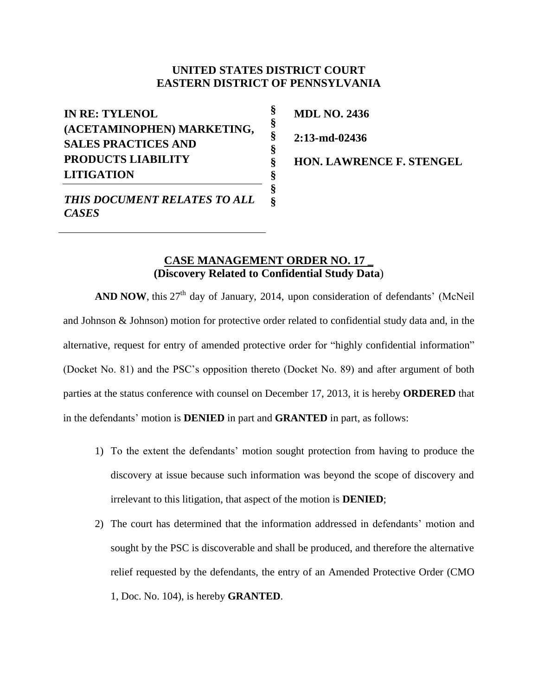## **UNITED STATES DISTRICT COURT EASTERN DISTRICT OF PENNSYLVANIA**

**§ § § § § § § §**

**IN RE: TYLENOL (ACETAMINOPHEN) MARKETING, SALES PRACTICES AND PRODUCTS LIABILITY LITIGATION**

**MDL NO. 2436 2:13-md-02436**

**HON. LAWRENCE F. STENGEL** 

*THIS DOCUMENT RELATES TO ALL CASES*

## **CASE MANAGEMENT ORDER NO. 17 \_ (Discovery Related to Confidential Study Data**)

AND NOW, this 27<sup>th</sup> day of January, 2014, upon consideration of defendants' (McNeil and Johnson & Johnson) motion for protective order related to confidential study data and, in the alternative, request for entry of amended protective order for "highly confidential information" (Docket No. 81) and the PSC's opposition thereto (Docket No. 89) and after argument of both parties at the status conference with counsel on December 17, 2013, it is hereby **ORDERED** that in the defendants' motion is **DENIED** in part and **GRANTED** in part, as follows:

- 1) To the extent the defendants' motion sought protection from having to produce the discovery at issue because such information was beyond the scope of discovery and irrelevant to this litigation, that aspect of the motion is **DENIED**;
- 2) The court has determined that the information addressed in defendants' motion and sought by the PSC is discoverable and shall be produced, and therefore the alternative relief requested by the defendants, the entry of an Amended Protective Order (CMO 1, Doc. No. 104), is hereby **GRANTED**.